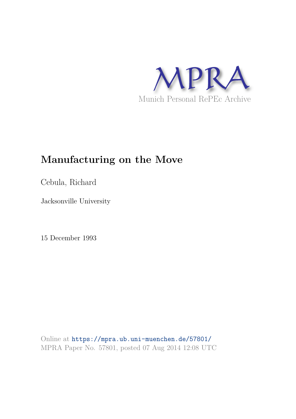

## **Manufacturing on the Move**

Cebula, Richard

Jacksonville University

15 December 1993

Online at https://mpra.ub.uni-muenchen.de/57801/ MPRA Paper No. 57801, posted 07 Aug 2014 12:08 UTC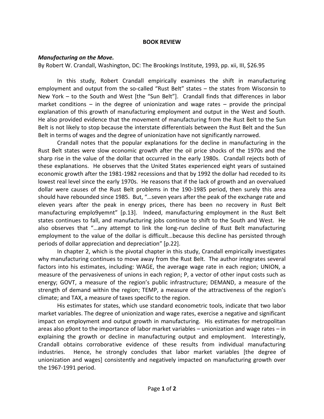## **BOOK REVIEW**

## *Manufacturing on the Move.*

By Robert W. Crandall, Washington, DC: The Brookings Institute, 1993, pp. xii, III, \$26.95

In this study, Robert Crandall empirically examines the shift in manufacturing employment and output from the so-called "Rust Belt" states – the states from Wisconsin to New York – to the South and West [the "Sun Belt"]. Crandall finds that differences in labor market conditions – in the degree of unionization and wage rates – provide the principal explanation of this growth of manufacturing employment and output in the West and South. He also provided evidence that the movement of manufacturing from the Rust Belt to the Sun Belt is not likely to stop because the interstate differentials between the Rust Belt and the Sun Belt in terms of wages and the degree of unionization have not significantly narrowed.

 Crandall notes that the popular explanations for the decline in manufacturing in the Rust Belt states were slow economic growth after the oil price shocks of the 1970s and the sharp rise in the value of the dollar that occurred in the early 1980s. Crandall rejects both of these explanations. He observes that the United States experienced eight years of sustained economic growth after the 1981-1982 recessions and that by 1992 the dollar had receded to its lowest real level since the early 1970s. He reasons that if the lack of growth and an overvalued dollar were causes of the Rust Belt problems in the 190-1985 period, then surely this area should have rebounded since 1985. But, "…seven years after the peak of the exchange rate and eleven years after the peak in energy prices, there has been no recovery in Rust Belt manufacturing emplo9yemnt" [p.13]. Indeed, manufacturing employment in the Rust Belt states continues to fall, and manufacturing jobs continue to shift to the South and West. He also observes that "…any attempt to link the long-run decline of Rust Belt manufacturing employment to the value of the dollar is difficult…because this decline has persisted through periods of dollar appreciation and depreciation" [p.22].

 In chapter 2, which is the pivotal chapter in this study, Crandall empirically investigates why manufacturing continues to move away from the Rust Belt. The author integrates several factors into his estimates, including: WAGE, the average wage rate in each region; UNION, a measure of the pervasiveness of unions in each region; P, a vector of other input costs such as energy; GOVT, a measure of the region's public infrastructure; DEMAND, a measure of the strength of demand within the region; TEMP, a measure of the attractiveness of the region's climate; and TAX, a measure of taxes specific to the region.

 His estimates for states, which use standard econometric tools, indicate that two labor market variables. The degree of unionization and wage rates, exercise a negative and significant impact on employment and output growth in manufacturing. His estimates for metropolitan areas also p9ont to the importance of labor market variables – unionization and wage rates – in explaining the growth or decline in manufacturing output and employment. Interestingly, Crandall obtains corroborative evidence of these results from individual manufacturing industries. Hence, he strongly concludes that labor market variables [the degree of unionization and wages] consistently and negatively impacted on manufacturing growth over the 1967-1991 period.